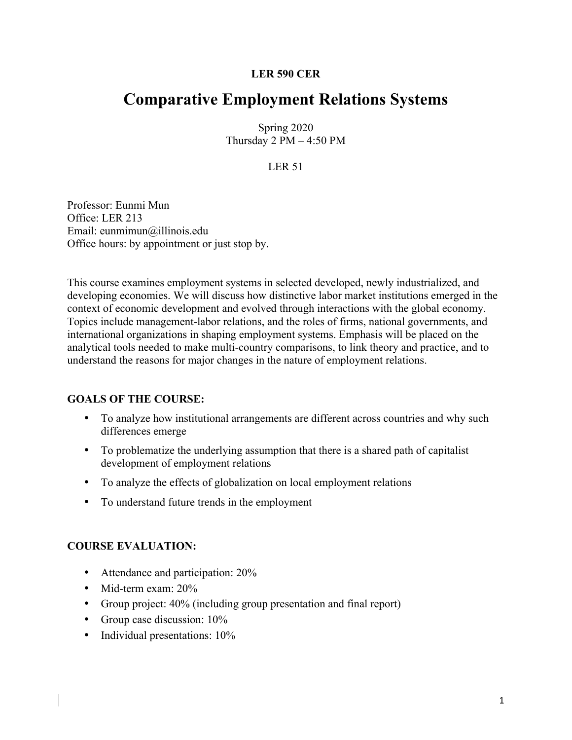## **LER 590 CER**

# **Comparative Employment Relations Systems**

Spring 2020 Thursday  $2 PM - 4:50 PM$ 

# LER 51

Professor: Eunmi Mun Office: LER 213 Email: eunmimun@illinois.edu Office hours: by appointment or just stop by.

This course examines employment systems in selected developed, newly industrialized, and developing economies. We will discuss how distinctive labor market institutions emerged in the context of economic development and evolved through interactions with the global economy. Topics include management-labor relations, and the roles of firms, national governments, and international organizations in shaping employment systems. Emphasis will be placed on the analytical tools needed to make multi-country comparisons, to link theory and practice, and to understand the reasons for major changes in the nature of employment relations.

## **GOALS OF THE COURSE:**

- To analyze how institutional arrangements are different across countries and why such differences emerge
- To problematize the underlying assumption that there is a shared path of capitalist development of employment relations
- To analyze the effects of globalization on local employment relations
- To understand future trends in the employment

## **COURSE EVALUATION:**

- Attendance and participation: 20%
- Mid-term exam: 20%
- Group project: 40% (including group presentation and final report)
- Group case discussion:  $10\%$
- Individual presentations:  $10\%$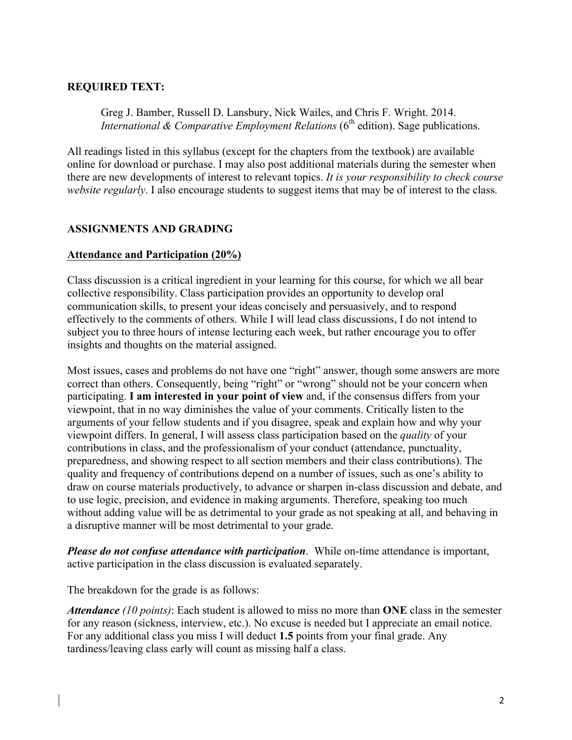## **REQUIRED TEXT:**

Greg J. Bamber, Russell D. Lansbury, Nick Wailes, and Chris F. Wright. 2014. *International & Comparative Employment Relations* (6<sup>th</sup> edition). Sage publications.

All readings listed in this syllabus (except for the chapters from the textbook) are available online for download or purchase. I may also post additional materials during the semester when there are new developments of interest to relevant topics. *It is your responsibility to check course website regularly*. I also encourage students to suggest items that may be of interest to the class.

## **ASSIGNMENTS AND GRADING**

#### **Attendance and Participation (20%)**

Class discussion is a critical ingredient in your learning for this course, for which we all bear collective responsibility. Class participation provides an opportunity to develop oral communication skills, to present your ideas concisely and persuasively, and to respond effectively to the comments of others. While I will lead class discussions, I do not intend to subject you to three hours of intense lecturing each week, but rather encourage you to offer insights and thoughts on the material assigned.

Most issues, cases and problems do not have one "right" answer, though some answers are more correct than others. Consequently, being "right" or "wrong" should not be your concern when participating. **I am interested in your point of view** and, if the consensus differs from your viewpoint, that in no way diminishes the value of your comments. Critically listen to the arguments of your fellow students and if you disagree, speak and explain how and why your viewpoint differs. In general, I will assess class participation based on the *quality* of your contributions in class, and the professionalism of your conduct (attendance, punctuality, preparedness, and showing respect to all section members and their class contributions). The quality and frequency of contributions depend on a number of issues, such as one's ability to draw on course materials productively, to advance or sharpen in-class discussion and debate, and to use logic, precision, and evidence in making arguments. Therefore, speaking too much without adding value will be as detrimental to your grade as not speaking at all, and behaving in a disruptive manner will be most detrimental to your grade.

*Please do not confuse attendance with participation*. While on-time attendance is important, active participation in the class discussion is evaluated separately.

The breakdown for the grade is as follows:

*Attendance (10 points)*: Each student is allowed to miss no more than **ONE** class in the semester for any reason (sickness, interview, etc.). No excuse is needed but I appreciate an email notice. For any additional class you miss I will deduct **1.5** points from your final grade. Any tardiness/leaving class early will count as missing half a class.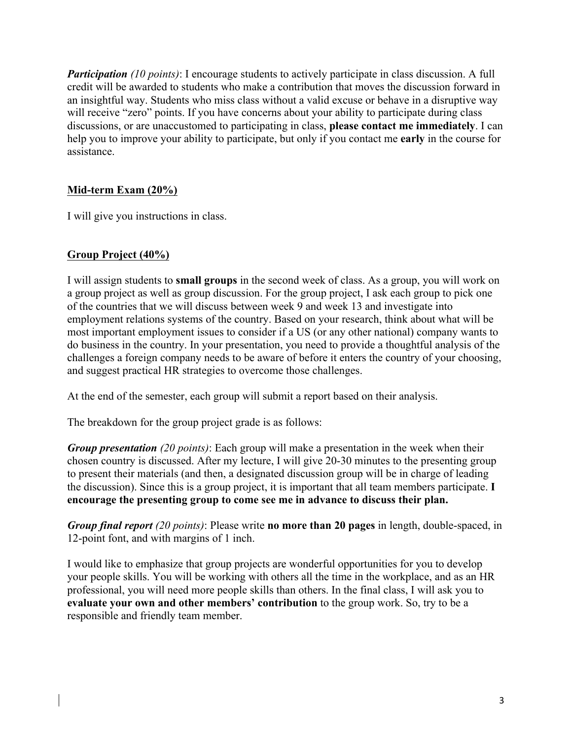*Participation (10 points)*: I encourage students to actively participate in class discussion. A full credit will be awarded to students who make a contribution that moves the discussion forward in an insightful way. Students who miss class without a valid excuse or behave in a disruptive way will receive "zero" points. If you have concerns about your ability to participate during class discussions, or are unaccustomed to participating in class, **please contact me immediately**. I can help you to improve your ability to participate, but only if you contact me **early** in the course for assistance.

# **Mid-term Exam (20%)**

I will give you instructions in class.

# **Group Project (40%)**

I will assign students to **small groups** in the second week of class. As a group, you will work on a group project as well as group discussion. For the group project, I ask each group to pick one of the countries that we will discuss between week 9 and week 13 and investigate into employment relations systems of the country. Based on your research, think about what will be most important employment issues to consider if a US (or any other national) company wants to do business in the country. In your presentation, you need to provide a thoughtful analysis of the challenges a foreign company needs to be aware of before it enters the country of your choosing, and suggest practical HR strategies to overcome those challenges.

At the end of the semester, each group will submit a report based on their analysis.

The breakdown for the group project grade is as follows:

*Group presentation (20 points)*: Each group will make a presentation in the week when their chosen country is discussed. After my lecture, I will give 20-30 minutes to the presenting group to present their materials (and then, a designated discussion group will be in charge of leading the discussion). Since this is a group project, it is important that all team members participate. **I encourage the presenting group to come see me in advance to discuss their plan.** 

*Group final report (20 points)*: Please write **no more than 20 pages** in length, double-spaced, in 12-point font, and with margins of 1 inch.

I would like to emphasize that group projects are wonderful opportunities for you to develop your people skills. You will be working with others all the time in the workplace, and as an HR professional, you will need more people skills than others. In the final class, I will ask you to **evaluate your own and other members' contribution** to the group work. So, try to be a responsible and friendly team member.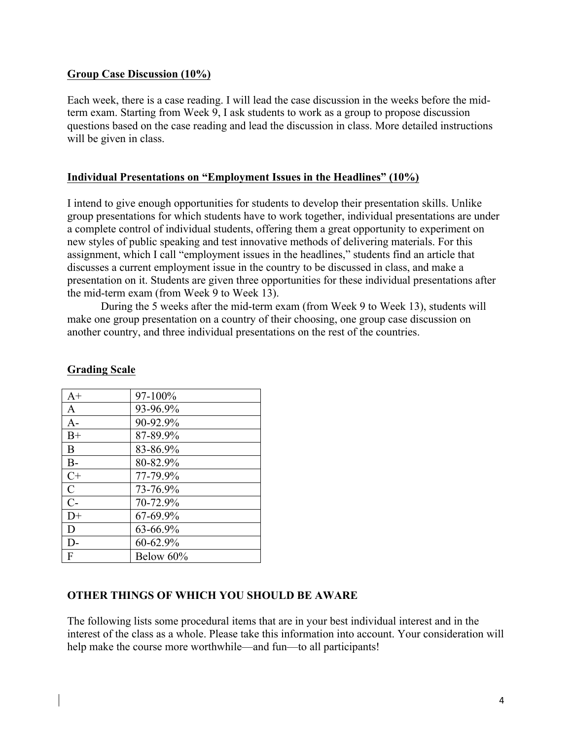### **Group Case Discussion (10%)**

Each week, there is a case reading. I will lead the case discussion in the weeks before the midterm exam. Starting from Week 9, I ask students to work as a group to propose discussion questions based on the case reading and lead the discussion in class. More detailed instructions will be given in class.

#### **Individual Presentations on "Employment Issues in the Headlines" (10%)**

I intend to give enough opportunities for students to develop their presentation skills. Unlike group presentations for which students have to work together, individual presentations are under a complete control of individual students, offering them a great opportunity to experiment on new styles of public speaking and test innovative methods of delivering materials. For this assignment, which I call "employment issues in the headlines," students find an article that discusses a current employment issue in the country to be discussed in class, and make a presentation on it. Students are given three opportunities for these individual presentations after the mid-term exam (from Week 9 to Week 13).

During the 5 weeks after the mid-term exam (from Week 9 to Week 13), students will make one group presentation on a country of their choosing, one group case discussion on another country, and three individual presentations on the rest of the countries.

| $A+$          | 97-100%   |
|---------------|-----------|
| A             | 93-96.9%  |
| $A -$         | 90-92.9%  |
| $B+$          | 87-89.9%  |
| B             | 83-86.9%  |
| $B-$          | 80-82.9%  |
| $C+$          | 77-79.9%  |
| $\mathcal{C}$ | 73-76.9%  |
| $C-$          | 70-72.9%  |
| $D+$          | 67-69.9%  |
| D             | 63-66.9%  |
| $\mathsf{D}$  | 60-62.9%  |
| F             | Below 60% |

#### **Grading Scale**

## **OTHER THINGS OF WHICH YOU SHOULD BE AWARE**

The following lists some procedural items that are in your best individual interest and in the interest of the class as a whole. Please take this information into account. Your consideration will help make the course more worthwhile—and fun—to all participants!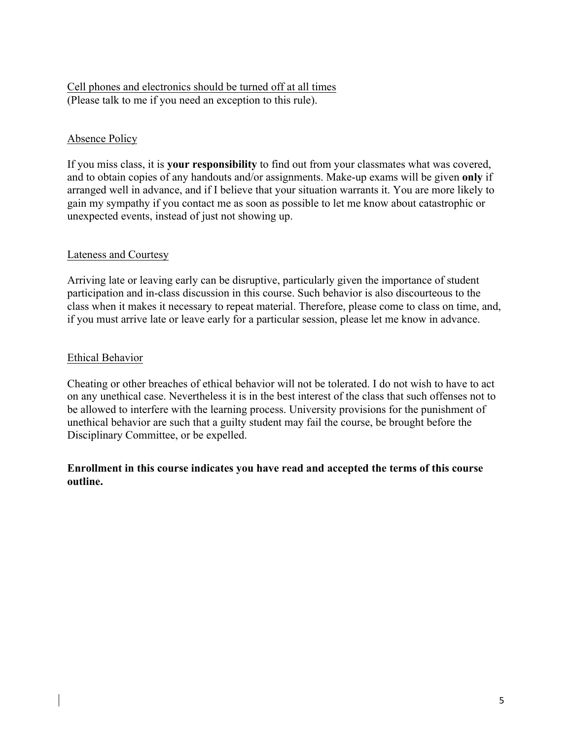# Cell phones and electronics should be turned off at all times (Please talk to me if you need an exception to this rule).

# Absence Policy

If you miss class, it is **your responsibility** to find out from your classmates what was covered, and to obtain copies of any handouts and/or assignments. Make-up exams will be given **only** if arranged well in advance, and if I believe that your situation warrants it. You are more likely to gain my sympathy if you contact me as soon as possible to let me know about catastrophic or unexpected events, instead of just not showing up.

## Lateness and Courtesy

Arriving late or leaving early can be disruptive, particularly given the importance of student participation and in-class discussion in this course. Such behavior is also discourteous to the class when it makes it necessary to repeat material. Therefore, please come to class on time, and, if you must arrive late or leave early for a particular session, please let me know in advance.

## Ethical Behavior

Cheating or other breaches of ethical behavior will not be tolerated. I do not wish to have to act on any unethical case. Nevertheless it is in the best interest of the class that such offenses not to be allowed to interfere with the learning process. University provisions for the punishment of unethical behavior are such that a guilty student may fail the course, be brought before the Disciplinary Committee, or be expelled.

#### **Enrollment in this course indicates you have read and accepted the terms of this course outline.**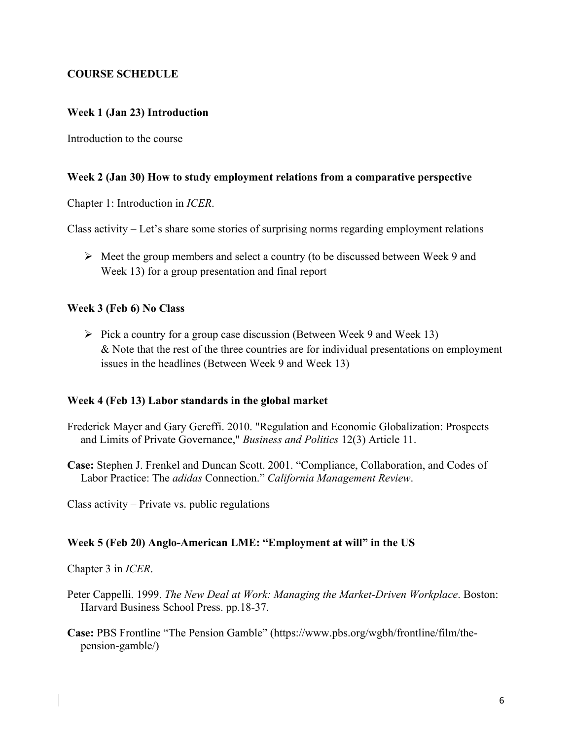## **COURSE SCHEDULE**

## **Week 1 (Jan 23) Introduction**

Introduction to the course

#### **Week 2 (Jan 30) How to study employment relations from a comparative perspective**

Chapter 1: Introduction in *ICER*.

Class activity – Let's share some stories of surprising norms regarding employment relations

 $\triangleright$  Meet the group members and select a country (to be discussed between Week 9 and Week 13) for a group presentation and final report

#### **Week 3 (Feb 6) No Class**

 $\triangleright$  Pick a country for a group case discussion (Between Week 9 and Week 13) & Note that the rest of the three countries are for individual presentations on employment issues in the headlines (Between Week 9 and Week 13)

#### **Week 4 (Feb 13) Labor standards in the global market**

Frederick Mayer and Gary Gereffi. 2010. "Regulation and Economic Globalization: Prospects and Limits of Private Governance," *Business and Politics* 12(3) Article 11.

**Case:** Stephen J. Frenkel and Duncan Scott. 2001. "Compliance, Collaboration, and Codes of Labor Practice: The *adidas* Connection." *California Management Review*.

Class activity – Private vs. public regulations

#### **Week 5 (Feb 20) Anglo-American LME: "Employment at will" in the US**

Chapter 3 in *ICER*.

- Peter Cappelli. 1999. *The New Deal at Work: Managing the Market-Driven Workplace*. Boston: Harvard Business School Press. pp.18-37.
- **Case:** PBS Frontline "The Pension Gamble" (https://www.pbs.org/wgbh/frontline/film/thepension-gamble/)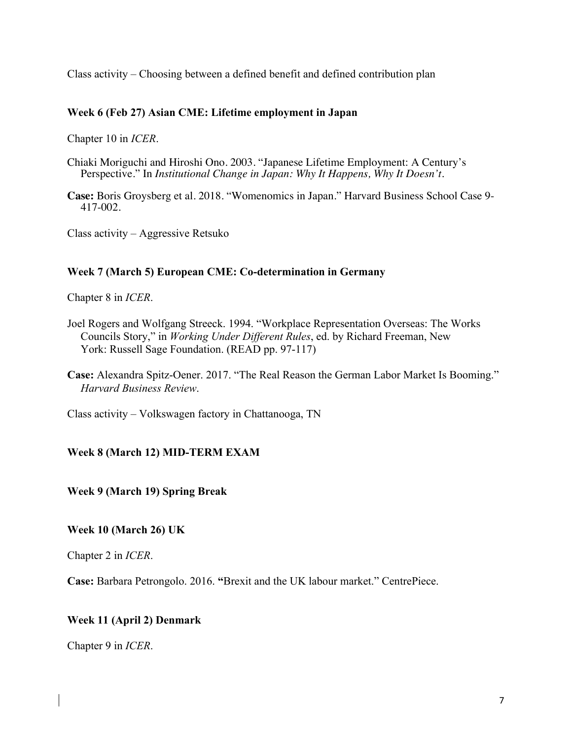Class activity – Choosing between a defined benefit and defined contribution plan

## **Week 6 (Feb 27) Asian CME: Lifetime employment in Japan**

Chapter 10 in *ICER*.

- Chiaki Moriguchi and Hiroshi Ono. 2003. "Japanese Lifetime Employment: A Century's Perspective." In *Institutional Change in Japan: Why It Happens, Why It Doesn't.*
- **Case:** Boris Groysberg et al. 2018. "Womenomics in Japan." Harvard Business School Case 9- 417-002.

Class activity – Aggressive Retsuko

#### **Week 7 (March 5) European CME: Co-determination in Germany**

Chapter 8 in *ICER*.

- Joel Rogers and Wolfgang Streeck. 1994. "Workplace Representation Overseas: The Works Councils Story," in *Working Under Different Rules*, ed. by Richard Freeman, New York: Russell Sage Foundation. (READ pp. 97-117)
- **Case:** Alexandra Spitz-Oener. 2017. "The Real Reason the German Labor Market Is Booming." *Harvard Business Review*.

Class activity – Volkswagen factory in Chattanooga, TN

## **Week 8 (March 12) MID-TERM EXAM**

**Week 9 (March 19) Spring Break**

#### **Week 10 (March 26) UK**

Chapter 2 in *ICER*.

**Case:** Barbara Petrongolo. 2016. **"**Brexit and the UK labour market." CentrePiece.

#### **Week 11 (April 2) Denmark**

Chapter 9 in *ICER*.